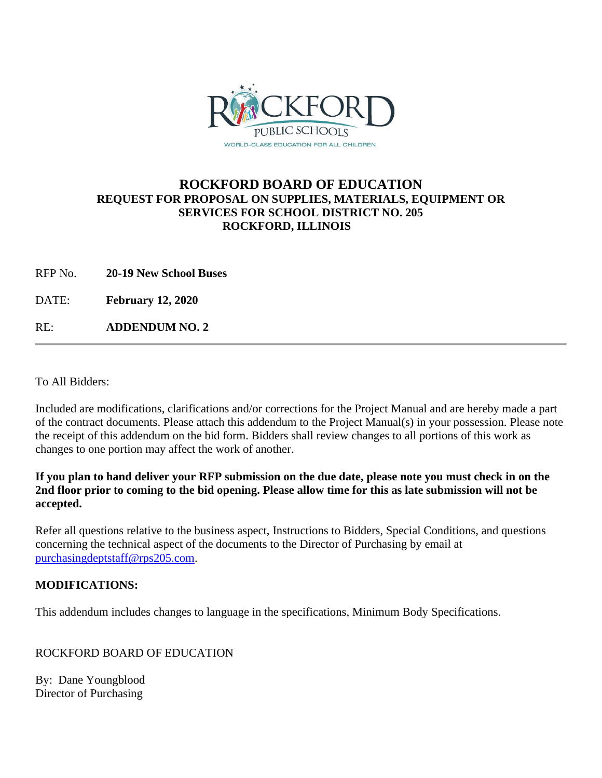

## **ROCKFORD BOARD OF EDUCATION REQUEST FOR PROPOSAL ON SUPPLIES, MATERIALS, EQUIPMENT OR SERVICES FOR SCHOOL DISTRICT NO. 205 ROCKFORD, ILLINOIS**

RFP No. **20-19 New School Buses**

DATE: **February 12, 2020**

RE: **ADDENDUM NO. 2**

To All Bidders:

Included are modifications, clarifications and/or corrections for the Project Manual and are hereby made a part of the contract documents. Please attach this addendum to the Project Manual(s) in your possession. Please note the receipt of this addendum on the bid form. Bidders shall review changes to all portions of this work as changes to one portion may affect the work of another.

**If you plan to hand deliver your RFP submission on the due date, please note you must check in on the 2nd floor prior to coming to the bid opening. Please allow time for this as late submission will not be accepted.**

Refer all questions relative to the business aspect, Instructions to Bidders, Special Conditions, and questions concerning the technical aspect of the documents to the Director of Purchasing by email at [purchasingdeptstaff@rps205.com.](mailto:purchasingdeptstaff@rps205.com)

## **MODIFICATIONS:**

This addendum includes changes to language in the specifications, Minimum Body Specifications.

ROCKFORD BOARD OF EDUCATION

By: Dane Youngblood Director of Purchasing